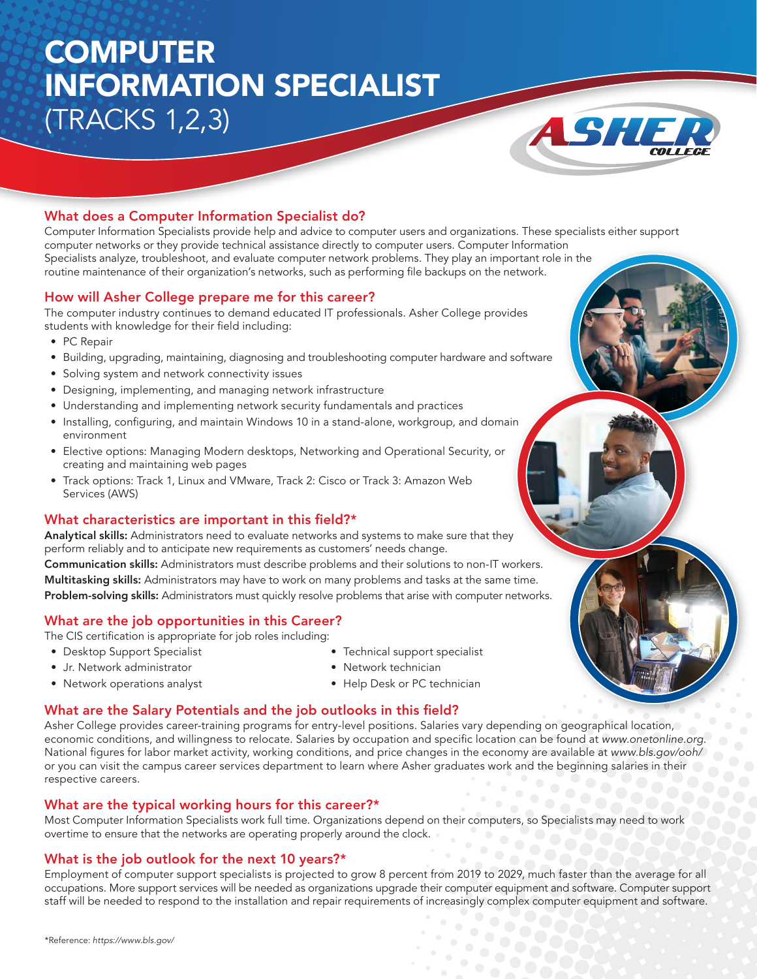## **COMPUTER** INFORMATION SPECIALIST (TRACKS 1,2,3)



## What does a Computer Information Specialist do?

Computer Information Specialists provide help and advice to computer users and organizations. These specialists either support computer networks or they provide technical assistance directly to computer users. Computer Information Specialists analyze, troubleshoot, and evaluate computer network problems. They play an important role in the routine maintenance of their organization's networks, such as performing file backups on the network.

#### How will Asher College prepare me for this career?

The computer industry continues to demand educated IT professionals. Asher College provides students with knowledge for their field including:

- PC Repair
- Building, upgrading, maintaining, diagnosing and troubleshooting computer hardware and software
- Solving system and network connectivity issues
- Designing, implementing, and managing network infrastructure
- Understanding and implementing network security fundamentals and practices
- Installing, configuring, and maintain Windows 10 in a stand-alone, workgroup, and domain environment
- Elective options: Managing Modern desktops, Networking and Operational Security, or creating and maintaining web pages
- Track options: Track 1, Linux and VMware, Track 2: Cisco or Track 3: Amazon Web Services (AWS)

#### What characteristics are important in this field?\*

Analytical skills: Administrators need to evaluate networks and systems to make sure that they perform reliably and to anticipate new requirements as customers' needs change.

Communication skills: Administrators must describe problems and their solutions to non-IT workers. Multitasking skills: Administrators may have to work on many problems and tasks at the same time. Problem-solving skills: Administrators must quickly resolve problems that arise with computer networks.

## What are the job opportunities in this Career?

The CIS certification is appropriate for job roles including:

• Desktop Support Specialist

• Technical support specialist

- Jr. Network administrator
- Network operations analyst
- Network technician
- Help Desk or PC technician

#### What are the Salary Potentials and the job outlooks in this field?

Asher College provides career-training programs for entry-level positions. Salaries vary depending on geographical location, economic conditions, and willingness to relocate. Salaries by occupation and specific location can be found at www.onetonline.org. National figures for labor market activity, working conditions, and price changes in the economy are available at www.bls.gov/ooh/ or you can visit the campus career services department to learn where Asher graduates work and the beginning salaries in their respective careers.

## What are the typical working hours for this career?\*

Most Computer Information Specialists work full time. Organizations depend on their computers, so Specialists may need to work overtime to ensure that the networks are operating properly around the clock.

## What is the job outlook for the next 10 years?\*

Employment of computer support specialists is projected to grow 8 percent from 2019 to 2029, much faster than the average for all occupations. More support services will be needed as organizations upgrade their computer equipment and software. Computer support staff will be needed to respond to the installation and repair requirements of increasingly complex computer equipment and software.